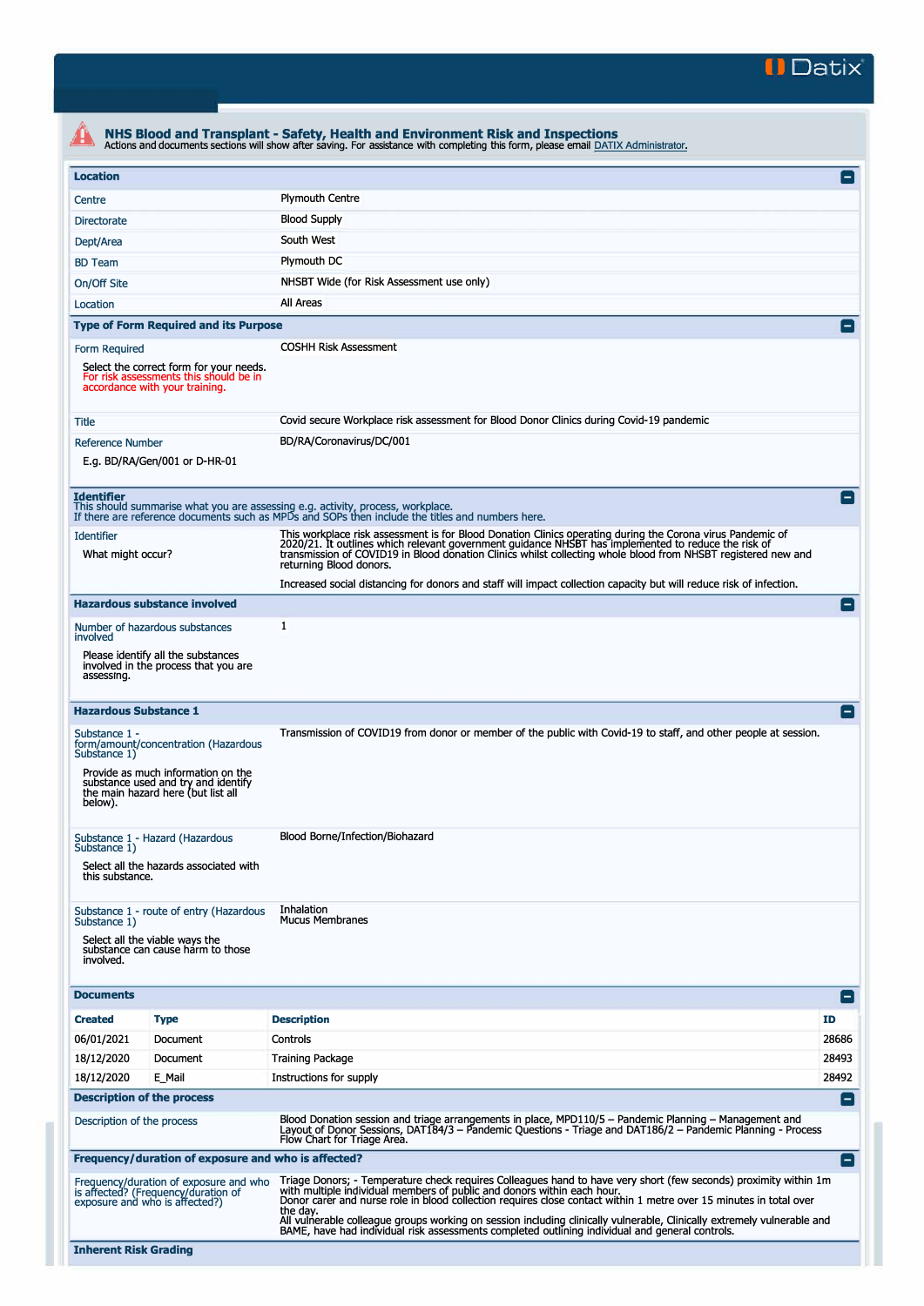

|                                                                                                              |                                                                                                                                                         | NHS Blood and Transplant - Safety, Health and Environment Risk and Inspections<br>Actions and documents sections will show after saving. For assistance with completing this form, please email DATIX Administrator.                                                                                                                                                                                                                                                                                                                                        |                    |  |  |  |  |  |
|--------------------------------------------------------------------------------------------------------------|---------------------------------------------------------------------------------------------------------------------------------------------------------|-------------------------------------------------------------------------------------------------------------------------------------------------------------------------------------------------------------------------------------------------------------------------------------------------------------------------------------------------------------------------------------------------------------------------------------------------------------------------------------------------------------------------------------------------------------|--------------------|--|--|--|--|--|
| <b>Location</b>                                                                                              |                                                                                                                                                         |                                                                                                                                                                                                                                                                                                                                                                                                                                                                                                                                                             | $\blacksquare$     |  |  |  |  |  |
| Centre                                                                                                       |                                                                                                                                                         | <b>Plymouth Centre</b>                                                                                                                                                                                                                                                                                                                                                                                                                                                                                                                                      |                    |  |  |  |  |  |
| <b>Directorate</b>                                                                                           |                                                                                                                                                         | <b>Blood Supply</b>                                                                                                                                                                                                                                                                                                                                                                                                                                                                                                                                         |                    |  |  |  |  |  |
| Dept/Area                                                                                                    |                                                                                                                                                         | South West                                                                                                                                                                                                                                                                                                                                                                                                                                                                                                                                                  |                    |  |  |  |  |  |
| <b>BD</b> Team                                                                                               |                                                                                                                                                         | Plymouth DC                                                                                                                                                                                                                                                                                                                                                                                                                                                                                                                                                 |                    |  |  |  |  |  |
| On/Off Site                                                                                                  |                                                                                                                                                         | NHSBT Wide (for Risk Assessment use only)                                                                                                                                                                                                                                                                                                                                                                                                                                                                                                                   |                    |  |  |  |  |  |
| Location                                                                                                     | All Areas                                                                                                                                               |                                                                                                                                                                                                                                                                                                                                                                                                                                                                                                                                                             |                    |  |  |  |  |  |
|                                                                                                              | <b>Type of Form Required and its Purpose</b>                                                                                                            |                                                                                                                                                                                                                                                                                                                                                                                                                                                                                                                                                             | $=$                |  |  |  |  |  |
|                                                                                                              |                                                                                                                                                         | <b>COSHH Risk Assessment</b>                                                                                                                                                                                                                                                                                                                                                                                                                                                                                                                                |                    |  |  |  |  |  |
| Form Required                                                                                                | Select the correct form for your needs.<br>For risk assessments this should be in<br>accordance with your training.                                     |                                                                                                                                                                                                                                                                                                                                                                                                                                                                                                                                                             |                    |  |  |  |  |  |
| Title                                                                                                        |                                                                                                                                                         | Covid secure Workplace risk assessment for Blood Donor Clinics during Covid-19 pandemic                                                                                                                                                                                                                                                                                                                                                                                                                                                                     |                    |  |  |  |  |  |
| <b>Reference Number</b>                                                                                      | E.g. BD/RA/Gen/001 or D-HR-01                                                                                                                           | BD/RA/Coronavirus/DC/001                                                                                                                                                                                                                                                                                                                                                                                                                                                                                                                                    |                    |  |  |  |  |  |
| <b>Identifier</b>                                                                                            |                                                                                                                                                         | This should summarise what you are assessing e.g. activity, process, workplace.<br>If there are reference documents such as MPDs and SOPs then include the titles and numbers here.                                                                                                                                                                                                                                                                                                                                                                         |                    |  |  |  |  |  |
| <b>Identifier</b><br>What might occur?                                                                       |                                                                                                                                                         | This workplace risk assessment is for Blood Donation Clinics operating during the Corona virus Pandemic of<br>2020/21. It outlines which relevant government guidance NHSBT has implemented to reduce the risk of<br>transmission of COVID19 in Blood donation Clinics whilst collecting whole blood from NHSBT registered new and<br>returning Blood donors.                                                                                                                                                                                               |                    |  |  |  |  |  |
|                                                                                                              |                                                                                                                                                         | Increased social distancing for donors and staff will impact collection capacity but will reduce risk of infection.                                                                                                                                                                                                                                                                                                                                                                                                                                         |                    |  |  |  |  |  |
|                                                                                                              | <b>Hazardous substance involved</b>                                                                                                                     |                                                                                                                                                                                                                                                                                                                                                                                                                                                                                                                                                             | Е.                 |  |  |  |  |  |
| involved                                                                                                     | Number of hazardous substances                                                                                                                          | 1                                                                                                                                                                                                                                                                                                                                                                                                                                                                                                                                                           |                    |  |  |  |  |  |
| assessing.                                                                                                   | Please identify all the substances<br>involved in the process that you are                                                                              |                                                                                                                                                                                                                                                                                                                                                                                                                                                                                                                                                             |                    |  |  |  |  |  |
| <b>Hazardous Substance 1</b>                                                                                 |                                                                                                                                                         |                                                                                                                                                                                                                                                                                                                                                                                                                                                                                                                                                             | E                  |  |  |  |  |  |
| Substance 1 -<br>Substance 1)<br>below).                                                                     | form/amount/concentration (Hazardous<br>Provide as much information on the<br>substance used and try and identify<br>the main hazard here (but list all | Transmission of COVID19 from donor or member of the public with Covid-19 to staff, and other people at session.                                                                                                                                                                                                                                                                                                                                                                                                                                             |                    |  |  |  |  |  |
| Substance 1 - Hazard (Hazardous<br>Substance 1)<br>Select all the hazards associated with<br>this substance. |                                                                                                                                                         | Blood Borne/Infection/Biohazard                                                                                                                                                                                                                                                                                                                                                                                                                                                                                                                             |                    |  |  |  |  |  |
| Substance 1)<br>involved.                                                                                    | Substance 1 - route of entry (Hazardous<br>Select all the viable ways the<br>substance can cause harm to those                                          | Inhalation<br><b>Mucus Membranes</b>                                                                                                                                                                                                                                                                                                                                                                                                                                                                                                                        |                    |  |  |  |  |  |
| <b>Documents</b>                                                                                             |                                                                                                                                                         |                                                                                                                                                                                                                                                                                                                                                                                                                                                                                                                                                             | $\blacksquare$     |  |  |  |  |  |
| <b>Created</b>                                                                                               | <b>Type</b>                                                                                                                                             | <b>Description</b>                                                                                                                                                                                                                                                                                                                                                                                                                                                                                                                                          | ID                 |  |  |  |  |  |
| 06/01/2021                                                                                                   | Document                                                                                                                                                | Controls                                                                                                                                                                                                                                                                                                                                                                                                                                                                                                                                                    | 28686              |  |  |  |  |  |
| 18/12/2020                                                                                                   | Document                                                                                                                                                | <b>Training Package</b>                                                                                                                                                                                                                                                                                                                                                                                                                                                                                                                                     | 28493              |  |  |  |  |  |
| 18/12/2020                                                                                                   | E_Mail                                                                                                                                                  | Instructions for supply                                                                                                                                                                                                                                                                                                                                                                                                                                                                                                                                     | 28492              |  |  |  |  |  |
| <b>Description of the process</b>                                                                            |                                                                                                                                                         |                                                                                                                                                                                                                                                                                                                                                                                                                                                                                                                                                             | $\left  - \right $ |  |  |  |  |  |
| Description of the process                                                                                   |                                                                                                                                                         | Blood Donation session and triage arrangements in place, MPD110/5 - Pandemic Planning - Management and<br>Layout of Donor Sessions, DAT184/3 - Pandemic Questions - Triage and DAT186/2 - Pandemic Planning - Process<br>Flow Chart for Triage Area.                                                                                                                                                                                                                                                                                                        |                    |  |  |  |  |  |
|                                                                                                              | Frequency/duration of exposure and who is affected?                                                                                                     |                                                                                                                                                                                                                                                                                                                                                                                                                                                                                                                                                             | $\blacksquare$     |  |  |  |  |  |
| exposure and who is affected?)                                                                               | Frequency/duration of exposure and who<br>is affected? (Frequency/duration of                                                                           | Triage Donors; - Temperature check requires Colleagues hand to have very short (few seconds) proximity within 1m<br>with multiple individual members of public and donors within each hour.<br>Donor carer and nurse role in blood collection requires close contact within 1 metre over 15 minutes in total over<br>the dav.<br>All vulnerable colleague groups working on session including clinically vulnerable, Clinically extremely vulnerable and<br>BAME, have had individual risk assessments completed outlining individual and general controls. |                    |  |  |  |  |  |
| <b>Inherent Risk Grading</b>                                                                                 |                                                                                                                                                         |                                                                                                                                                                                                                                                                                                                                                                                                                                                                                                                                                             |                    |  |  |  |  |  |